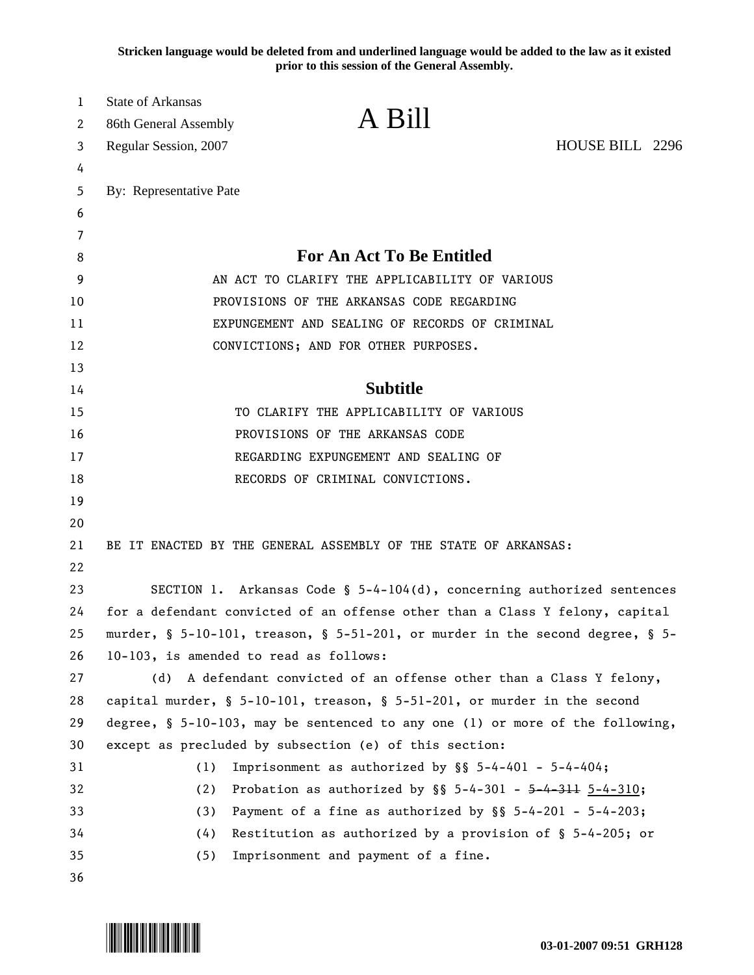**Stricken language would be deleted from and underlined language would be added to the law as it existed prior to this session of the General Assembly.**

| 1  | <b>State of Arkansas</b>                                                         |                                                                  |                 |
|----|----------------------------------------------------------------------------------|------------------------------------------------------------------|-----------------|
| 2  | 86th General Assembly                                                            | A Bill                                                           |                 |
| 3  | Regular Session, 2007                                                            |                                                                  | HOUSE BILL 2296 |
| 4  |                                                                                  |                                                                  |                 |
| 5  | By: Representative Pate                                                          |                                                                  |                 |
| 6  |                                                                                  |                                                                  |                 |
| 7  |                                                                                  |                                                                  |                 |
| 8  |                                                                                  | <b>For An Act To Be Entitled</b>                                 |                 |
| 9  |                                                                                  | AN ACT TO CLARIFY THE APPLICABILITY OF VARIOUS                   |                 |
| 10 |                                                                                  | PROVISIONS OF THE ARKANSAS CODE REGARDING                        |                 |
| 11 |                                                                                  | EXPUNGEMENT AND SEALING OF RECORDS OF CRIMINAL                   |                 |
| 12 | CONVICTIONS; AND FOR OTHER PURPOSES.                                             |                                                                  |                 |
| 13 |                                                                                  |                                                                  |                 |
| 14 |                                                                                  | <b>Subtitle</b>                                                  |                 |
| 15 |                                                                                  | TO CLARIFY THE APPLICABILITY OF VARIOUS                          |                 |
| 16 | PROVISIONS OF THE ARKANSAS CODE                                                  |                                                                  |                 |
| 17 |                                                                                  | REGARDING EXPUNGEMENT AND SEALING OF                             |                 |
| 18 | RECORDS OF CRIMINAL CONVICTIONS.                                                 |                                                                  |                 |
| 19 |                                                                                  |                                                                  |                 |
| 20 |                                                                                  |                                                                  |                 |
| 21 | BE IT ENACTED BY THE GENERAL ASSEMBLY OF THE STATE OF ARKANSAS:                  |                                                                  |                 |
| 22 |                                                                                  |                                                                  |                 |
| 23 | SECTION 1. Arkansas Code § $5-4-104(d)$ , concerning authorized sentences        |                                                                  |                 |
| 24 | for a defendant convicted of an offense other than a Class Y felony, capital     |                                                                  |                 |
| 25 | murder, § 5-10-101, treason, § 5-51-201, or murder in the second degree, § 5-    |                                                                  |                 |
| 26 | 10-103, is amended to read as follows:                                           |                                                                  |                 |
| 27 | (d)                                                                              | A defendant convicted of an offense other than a Class Y felony, |                 |
| 28 | capital murder, $\S$ 5-10-101, treason, $\S$ 5-51-201, or murder in the second   |                                                                  |                 |
| 29 | degree, $\S$ 5-10-103, may be sentenced to any one (1) or more of the following, |                                                                  |                 |
| 30 | except as precluded by subsection (e) of this section:                           |                                                                  |                 |
| 31 | (1)                                                                              | Imprisonment as authorized by $\S$ $\S$ 5-4-401 - 5-4-404;       |                 |
| 32 | (2)                                                                              | Probation as authorized by $\S$ 5-4-301 - 5-4-311 5-4-310;       |                 |
| 33 | (3)                                                                              | Payment of a fine as authorized by $\S$ $S$ 5-4-201 - 5-4-203;   |                 |
| 34 | (4)                                                                              | Restitution as authorized by a provision of $\S$ 5-4-205; or     |                 |
| 35 | (5)                                                                              | Imprisonment and payment of a fine.                              |                 |
| 36 |                                                                                  |                                                                  |                 |
|    |                                                                                  |                                                                  |                 |

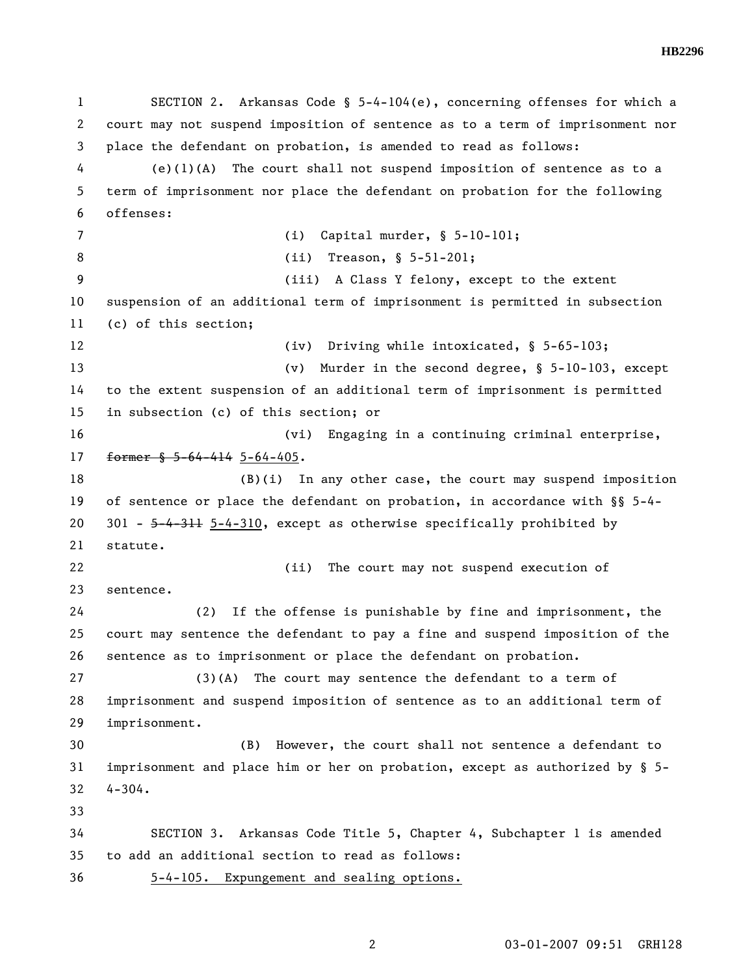1 SECTION 2. Arkansas Code § 5-4-104(e), concerning offenses for which a 2 court may not suspend imposition of sentence as to a term of imprisonment nor 3 place the defendant on probation, is amended to read as follows: 4 (e)(1)(A) The court shall not suspend imposition of sentence as to a 5 term of imprisonment nor place the defendant on probation for the following 6 offenses: 7 (i) Capital murder, § 5-10-101; 8 (ii) Treason, § 5-51-201; 9 (iii) A Class Y felony, except to the extent 10 suspension of an additional term of imprisonment is permitted in subsection 11 (c) of this section; 12 (iv) Driving while intoxicated, § 5-65-103; 13 (v) Murder in the second degree, § 5-10-103, except 14 to the extent suspension of an additional term of imprisonment is permitted 15 in subsection (c) of this section; or 16 (vi) Engaging in a continuing criminal enterprise, 17 former § 5-64-414 5-64-405. 18 (B)(i) In any other case, the court may suspend imposition 19 of sentence or place the defendant on probation, in accordance with §§ 5-4- 20 301 - 5-4-311 5-4-310, except as otherwise specifically prohibited by 21 statute. 22 (ii) The court may not suspend execution of 23 sentence. 24 (2) If the offense is punishable by fine and imprisonment, the 25 court may sentence the defendant to pay a fine and suspend imposition of the 26 sentence as to imprisonment or place the defendant on probation. 27 (3)(A) The court may sentence the defendant to a term of 28 imprisonment and suspend imposition of sentence as to an additional term of 29 imprisonment. 30 (B) However, the court shall not sentence a defendant to 31 imprisonment and place him or her on probation, except as authorized by § 5- 32 4-304. 33 34 SECTION 3. Arkansas Code Title 5, Chapter 4, Subchapter 1 is amended 35 to add an additional section to read as follows: 36 5-4-105. Expungement and sealing options.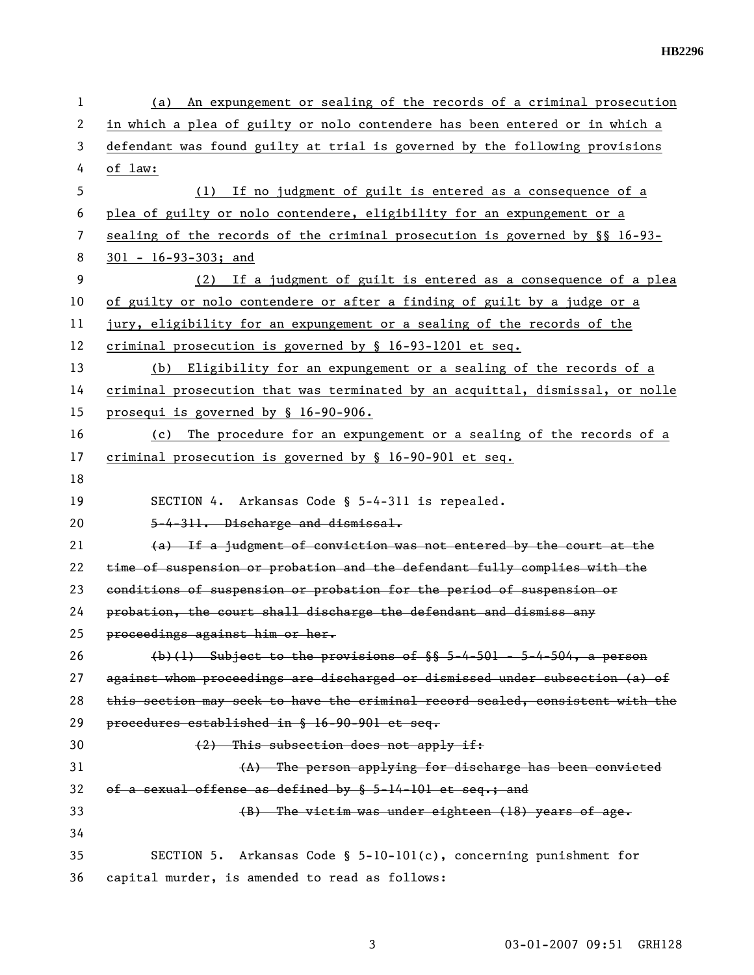| 1  | An expungement or sealing of the records of a criminal prosecution<br>(a)     |
|----|-------------------------------------------------------------------------------|
| 2  | in which a plea of guilty or nolo contendere has been entered or in which a   |
| 3  | defendant was found guilty at trial is governed by the following provisions   |
| 4  | of law:                                                                       |
| 5  | (1) If no judgment of guilt is entered as a consequence of a                  |
| 6  | plea of guilty or nolo contendere, eligibility for an expungement or a        |
| 7  | sealing of the records of the criminal prosecution is governed by §§ 16-93-   |
| 8  | $301 - 16 - 93 - 303$ ; and                                                   |
| 9  | (2) If a judgment of guilt is entered as a consequence of a plea              |
| 10 | of guilty or nolo contendere or after a finding of guilt by a judge or a      |
| 11 | jury, eligibility for an expungement or a sealing of the records of the       |
| 12 | criminal prosecution is governed by § 16-93-1201 et seq.                      |
| 13 | (b) Eligibility for an expungement or a sealing of the records of a           |
| 14 | criminal prosecution that was terminated by an acquittal, dismissal, or nolle |
| 15 | prosequi is governed by § 16-90-906.                                          |
| 16 | The procedure for an expungement or a sealing of the records of a<br>(c)      |
| 17 | criminal prosecution is governed by § 16-90-901 et seq.                       |
| 18 |                                                                               |
| 19 | SECTION 4. Arkansas Code § 5-4-311 is repealed.                               |
| 20 | 5-4-311. Discharge and dismissal.                                             |
| 21 | (a) If a judgment of conviction was not entered by the court at the           |
| 22 | time of suspension or probation and the defendant fully complies with the     |
| 23 | conditions of suspension or probation for the period of suspension or         |
| 24 | probation, the court shall discharge the defendant and dismiss any            |
| 25 | proceedings against him or her.                                               |
| 26 | $(b)(1)$ Subject to the provisions of $\S$ 5-4-501 - 5-4-504, a person        |
| 27 | against whom proceedings are discharged or dismissed under subsection (a) of  |
| 28 | this section may seek to have the criminal record sealed, consistent with the |
| 29 | procedures established in § 16-90-901 et seq.                                 |
| 30 | (2) This subsection does not apply if:                                        |
| 31 | (A) The person applying for discharge has been convicted                      |
| 32 | of a sexual offense as defined by § 5-14-101 et seq.; and                     |
| 33 | (B) The victim was under eighteen (18) years of age.                          |
| 34 |                                                                               |
| 35 | Arkansas Code § 5-10-101(c), concerning punishment for<br>SECTION 5.          |
| 36 | capital murder, is amended to read as follows:                                |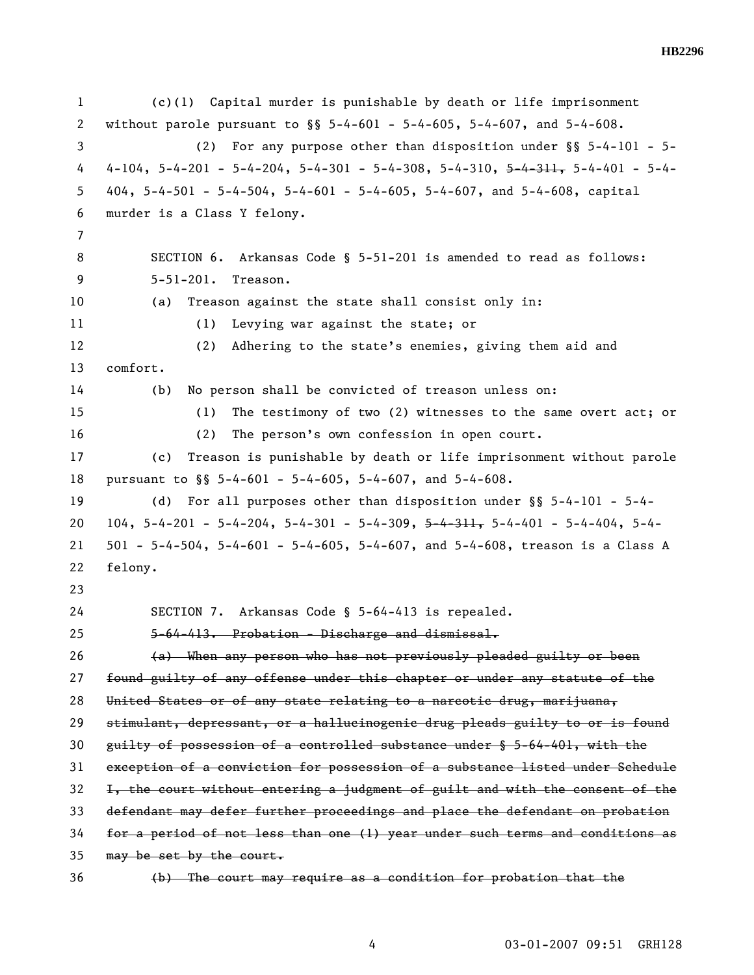1 (c)(1) Capital murder is punishable by death or life imprisonment 2 without parole pursuant to §§ 5-4-601 - 5-4-605, 5-4-607, and 5-4-608. 3 (2) For any purpose other than disposition under §§ 5-4-101 - 5- 4 4-104, 5-4-201 - 5-4-204, 5-4-301 - 5-4-308, 5-4-310, <del>5-4-311,</del> 5-4-401 - 5-4-5 404,  $5-4-501 - 5-4-504$ ,  $5-4-601 - 5-4-605$ ,  $5-4-607$ , and  $5-4-608$ , capital 6 murder is a Class Y felony. 7 8 SECTION 6. Arkansas Code § 5-51-201 is amended to read as follows: 9 5-51-201. Treason. 10 (a) Treason against the state shall consist only in: 11 (1) Levying war against the state; or 12 (2) Adhering to the state's enemies, giving them aid and 13 comfort. 14 (b) No person shall be convicted of treason unless on: 15 (1) The testimony of two (2) witnesses to the same overt act; or 16 (2) The person's own confession in open court. 17 (c) Treason is punishable by death or life imprisonment without parole 18 pursuant to §§ 5-4-601 - 5-4-605, 5-4-607, and 5-4-608. 19 (d) For all purposes other than disposition under §§ 5-4-101 - 5-4- 20 104,  $5-4-201 - 5-4-204$ ,  $5-4-301 - 5-4-309$ ,  $5-4-311$ ,  $5-4-401 - 5-4-404$ ,  $5-4-$ 21 501 - 5-4-504, 5-4-601 - 5-4-605, 5-4-607, and 5-4-608, treason is a Class A 22 felony. 23 24 SECTION 7. Arkansas Code § 5-64-413 is repealed. 25 5-64-413. Probation - Discharge and dismissal.  $26$  (a) When any person who has not previously pleaded guilty or been 27 found guilty of any offense under this chapter or under any statute of the 28 United States or of any state relating to a narcotic drug, marijuana, 29 stimulant, depressant, or a hallucinogenic drug pleads guilty to or is found 30 guilty of possession of a controlled substance under § 5-64-401, with the 31 exception of a conviction for possession of a substance listed under Schedule 32 I, the court without entering a judgment of guilt and with the consent of the 33 defendant may defer further proceedings and place the defendant on probation 34 for a period of not less than one (1) year under such terms and conditions as 35 may be set by the court. 36 (b) The court may require as a condition for probation that the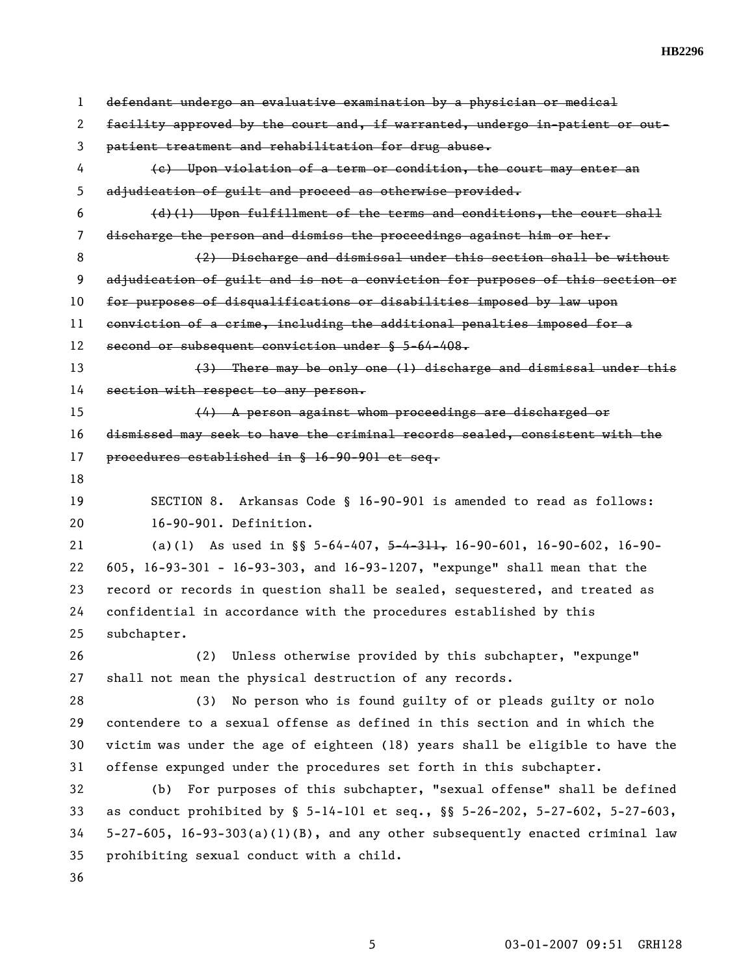1 defendant undergo an evaluative examination by a physician or medical 2 facility approved by the court and, if warranted, undergo in-patient or out-3 patient treatment and rehabilitation for drug abuse. 4 (c) Upon violation of a term or condition, the court may enter an 5 adjudication of guilt and proceed as otherwise provided.  $6$  (d)(1) Upon fulfillment of the terms and conditions, the court shall 7 discharge the person and dismiss the proceedings against him or her. 8 (2) Discharge and dismissal under this section shall be without 9 adjudication of guilt and is not a conviction for purposes of this section or 10 for purposes of disqualifications or disabilities imposed by law upon 11 conviction of a crime, including the additional penalties imposed for a 12 second or subsequent conviction under § 5-64-408. 13 (3) There may be only one (1) discharge and dismissal under this 14 section with respect to any person. 15 (4) A person against whom proceedings are discharged or 16 dismissed may seek to have the criminal records sealed, consistent with the 17 procedures established in § 16-90-901 et seq. 18 19 SECTION 8. Arkansas Code § 16-90-901 is amended to read as follows: 20 16-90-901. Definition. 21 (a)(1) As used in §§ 5-64-407, 5-4-311, 16-90-601, 16-90-602, 16-90-22 605, 16-93-301 - 16-93-303, and 16-93-1207, "expunge" shall mean that the 23 record or records in question shall be sealed, sequestered, and treated as 24 confidential in accordance with the procedures established by this 25 subchapter. 26 (2) Unless otherwise provided by this subchapter, "expunge" 27 shall not mean the physical destruction of any records. 28 (3) No person who is found guilty of or pleads guilty or nolo 29 contendere to a sexual offense as defined in this section and in which the 30 victim was under the age of eighteen (18) years shall be eligible to have the 31 offense expunged under the procedures set forth in this subchapter. 32 (b) For purposes of this subchapter, "sexual offense" shall be defined 33 as conduct prohibited by § 5-14-101 et seq., §§ 5-26-202, 5-27-602, 5-27-603, 34 5-27-605, 16-93-303(a)(1)(B), and any other subsequently enacted criminal law 35 prohibiting sexual conduct with a child. 36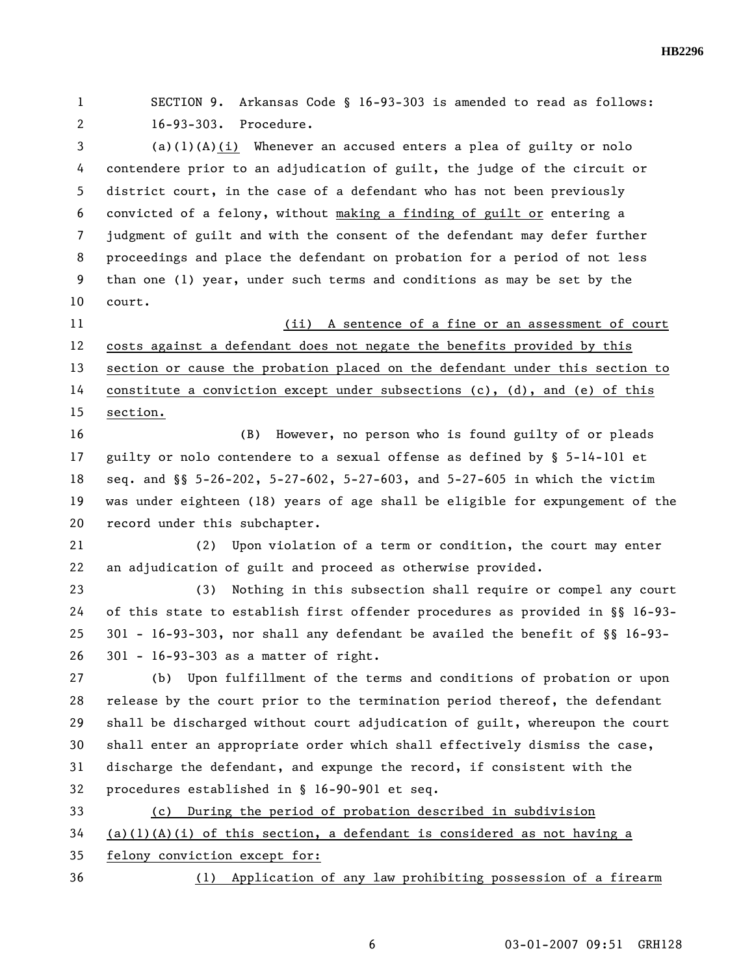1 SECTION 9. Arkansas Code § 16-93-303 is amended to read as follows: 2 16-93-303. Procedure.

3 (a)(1)(A)(i) Whenever an accused enters a plea of guilty or nolo 4 contendere prior to an adjudication of guilt, the judge of the circuit or 5 district court, in the case of a defendant who has not been previously 6 convicted of a felony, without making a finding of guilt or entering a 7 judgment of guilt and with the consent of the defendant may defer further 8 proceedings and place the defendant on probation for a period of not less 9 than one (1) year, under such terms and conditions as may be set by the 10 court.

11 (ii) A sentence of a fine or an assessment of court 12 costs against a defendant does not negate the benefits provided by this 13 section or cause the probation placed on the defendant under this section to 14 constitute a conviction except under subsections (c), (d), and (e) of this 15 section.

16 (B) However, no person who is found guilty of or pleads 17 guilty or nolo contendere to a sexual offense as defined by § 5-14-101 et 18 seq. and §§ 5-26-202, 5-27-602, 5-27-603, and 5-27-605 in which the victim 19 was under eighteen (18) years of age shall be eligible for expungement of the 20 record under this subchapter.

21 (2) Upon violation of a term or condition, the court may enter 22 an adjudication of guilt and proceed as otherwise provided.

23 (3) Nothing in this subsection shall require or compel any court 24 of this state to establish first offender procedures as provided in §§ 16-93- 25 301 - 16-93-303, nor shall any defendant be availed the benefit of §§ 16-93- 26 301 - 16-93-303 as a matter of right.

27 (b) Upon fulfillment of the terms and conditions of probation or upon 28 release by the court prior to the termination period thereof, the defendant 29 shall be discharged without court adjudication of guilt, whereupon the court 30 shall enter an appropriate order which shall effectively dismiss the case, 31 discharge the defendant, and expunge the record, if consistent with the 32 procedures established in § 16-90-901 et seq.

33 (c) During the period of probation described in subdivision

 $34$  (a)(1)(A)(i) of this section, a defendant is considered as not having a

35 felony conviction except for:

36 (1) Application of any law prohibiting possession of a firearm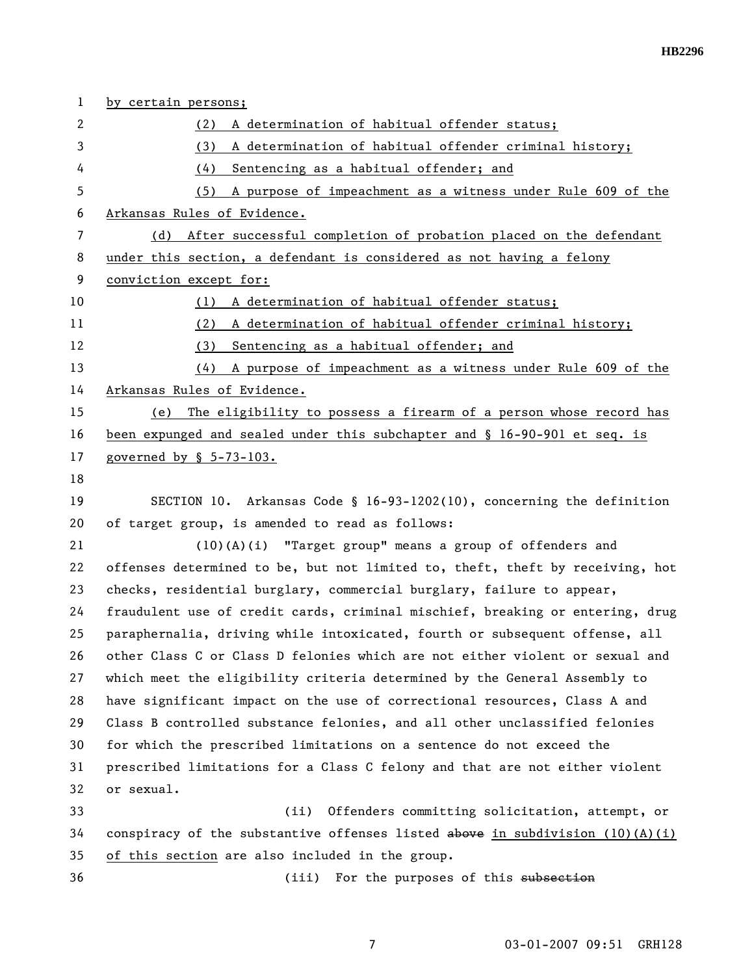| $\mathbf{1}$   | by certain persons;                                                             |  |  |
|----------------|---------------------------------------------------------------------------------|--|--|
| $\overline{c}$ | (2) A determination of habitual offender status;                                |  |  |
| 3              | (3)<br>A determination of habitual offender criminal history;                   |  |  |
| 4              | Sentencing as a habitual offender; and<br>(4)                                   |  |  |
| 5              | (5) A purpose of impeachment as a witness under Rule 609 of the                 |  |  |
| 6              | Arkansas Rules of Evidence.                                                     |  |  |
| $\overline{7}$ | After successful completion of probation placed on the defendant<br>(d)         |  |  |
| 8              | under this section, a defendant is considered as not having a felony            |  |  |
| 9              | conviction except for:                                                          |  |  |
| 10             | A determination of habitual offender status;<br>(1)                             |  |  |
| 11             | A determination of habitual offender criminal history;<br>(2)                   |  |  |
| 12             | Sentencing as a habitual offender; and<br>(3)                                   |  |  |
| 13             | $(4)$ A purpose of impeachment as a witness under Rule 609 of the               |  |  |
| 14             | Arkansas Rules of Evidence.                                                     |  |  |
| 15             | The eligibility to possess a firearm of a person whose record has<br>(e)        |  |  |
| 16             | been expunged and sealed under this subchapter and § 16-90-901 et seq. is       |  |  |
| 17             | governed by § 5-73-103.                                                         |  |  |
| 18             |                                                                                 |  |  |
| 19             | SECTION 10. Arkansas Code § 16-93-1202(10), concerning the definition           |  |  |
| 20             | of target group, is amended to read as follows:                                 |  |  |
| 21             | (10)(A)(i) "Target group" means a group of offenders and                        |  |  |
| 22             | offenses determined to be, but not limited to, theft, theft by receiving, hot   |  |  |
| 23             | checks, residential burglary, commercial burglary, failure to appear,           |  |  |
| 24             | fraudulent use of credit cards, criminal mischief, breaking or entering, drug   |  |  |
| 25             | paraphernalia, driving while intoxicated, fourth or subsequent offense, all     |  |  |
| 26             | other Class C or Class D felonies which are not either violent or sexual and    |  |  |
| 27             | which meet the eligibility criteria determined by the General Assembly to       |  |  |
| 28             | have significant impact on the use of correctional resources, Class A and       |  |  |
| 29             | Class B controlled substance felonies, and all other unclassified felonies      |  |  |
| 30             | for which the prescribed limitations on a sentence do not exceed the            |  |  |
| 31             | prescribed limitations for a Class C felony and that are not either violent     |  |  |
| 32             | or sexual.                                                                      |  |  |
| 33             | (ii)<br>Offenders committing solicitation, attempt, or                          |  |  |
| 34             | conspiracy of the substantive offenses listed above in subdivision $(10)(A)(i)$ |  |  |
| 35             | of this section are also included in the group.                                 |  |  |
| 36             | For the purposes of this subsection<br>(iii)                                    |  |  |

7 03-01-2007 09:51 GRH128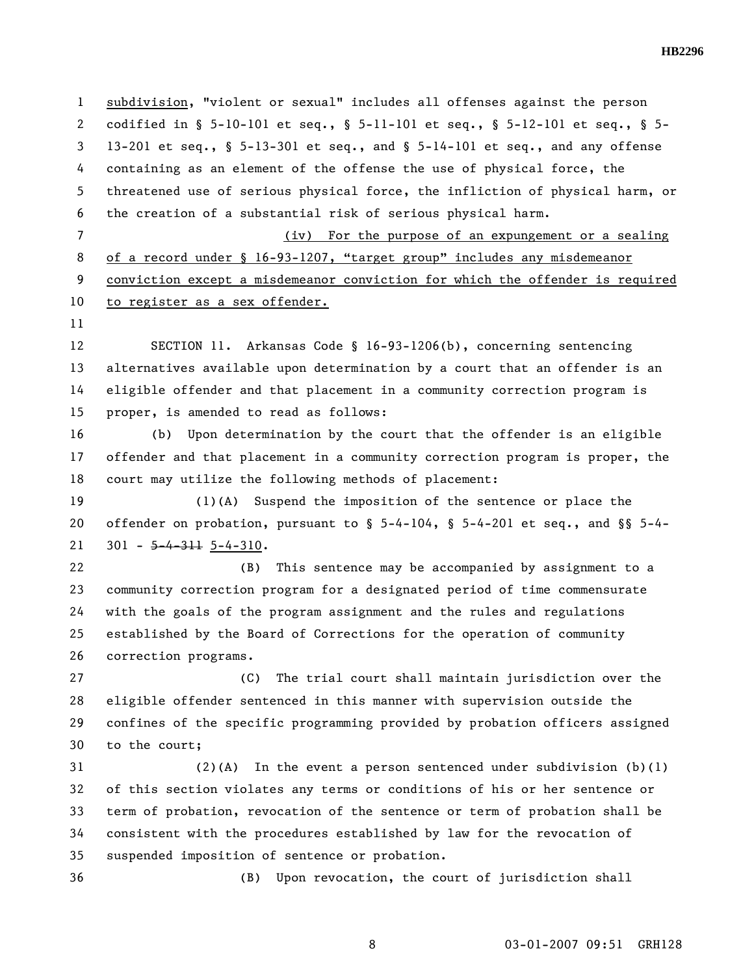1 subdivision, "violent or sexual" includes all offenses against the person 2 codified in § 5-10-101 et seq., § 5-11-101 et seq., § 5-12-101 et seq., § 5- 3 13-201 et seq., § 5-13-301 et seq., and § 5-14-101 et seq., and any offense 4 containing as an element of the offense the use of physical force, the 5 threatened use of serious physical force, the infliction of physical harm, or 6 the creation of a substantial risk of serious physical harm. 7 (iv) For the purpose of an expungement or a sealing 8 of a record under § 16-93-1207, "target group" includes any misdemeanor 9 conviction except a misdemeanor conviction for which the offender is required 10 to register as a sex offender. 11 12 SECTION 11. Arkansas Code § 16-93-1206(b), concerning sentencing 13 alternatives available upon determination by a court that an offender is an 14 eligible offender and that placement in a community correction program is 15 proper, is amended to read as follows: 16 (b) Upon determination by the court that the offender is an eligible 17 offender and that placement in a community correction program is proper, the 18 court may utilize the following methods of placement: 19 (1)(A) Suspend the imposition of the sentence or place the 20 offender on probation, pursuant to  $\S$  5-4-104,  $\S$  5-4-201 et seq., and  $\S$ § 5-4-21  $301 - 5 - 4 - 311$  5-4-310. 22 (B) This sentence may be accompanied by assignment to a 23 community correction program for a designated period of time commensurate 24 with the goals of the program assignment and the rules and regulations 25 established by the Board of Corrections for the operation of community 26 correction programs. 27 (C) The trial court shall maintain jurisdiction over the 28 eligible offender sentenced in this manner with supervision outside the 29 confines of the specific programming provided by probation officers assigned 30 to the court; 31 (2)(A) In the event a person sentenced under subdivision (b)(1) 32 of this section violates any terms or conditions of his or her sentence or 33 term of probation, revocation of the sentence or term of probation shall be 34 consistent with the procedures established by law for the revocation of 35 suspended imposition of sentence or probation. 36 (B) Upon revocation, the court of jurisdiction shall

8 03-01-2007 09:51 GRH128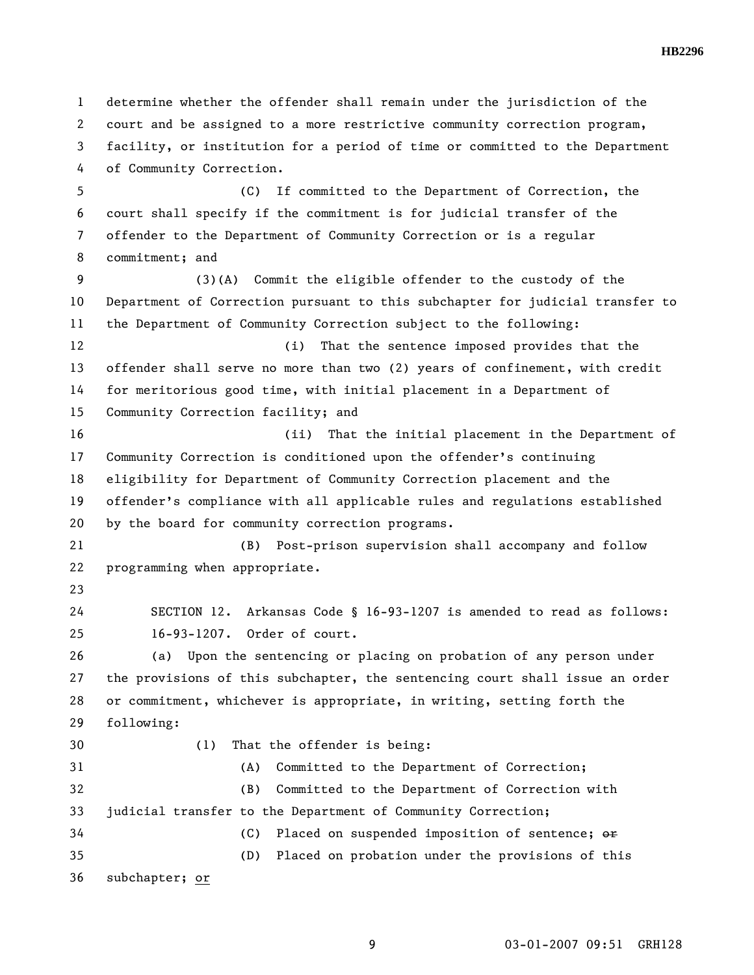1 determine whether the offender shall remain under the jurisdiction of the 2 court and be assigned to a more restrictive community correction program, 3 facility, or institution for a period of time or committed to the Department 4 of Community Correction. 5 (C) If committed to the Department of Correction, the 6 court shall specify if the commitment is for judicial transfer of the 7 offender to the Department of Community Correction or is a regular 8 commitment; and 9 (3)(A) Commit the eligible offender to the custody of the 10 Department of Correction pursuant to this subchapter for judicial transfer to 11 the Department of Community Correction subject to the following: 12 (i) That the sentence imposed provides that the 13 offender shall serve no more than two (2) years of confinement, with credit 14 for meritorious good time, with initial placement in a Department of 15 Community Correction facility; and 16 (ii) That the initial placement in the Department of 17 Community Correction is conditioned upon the offender's continuing 18 eligibility for Department of Community Correction placement and the 19 offender's compliance with all applicable rules and regulations established 20 by the board for community correction programs. 21 (B) Post-prison supervision shall accompany and follow 22 programming when appropriate. 23 24 SECTION 12. Arkansas Code § 16-93-1207 is amended to read as follows: 25 16-93-1207. Order of court. 26 (a) Upon the sentencing or placing on probation of any person under 27 the provisions of this subchapter, the sentencing court shall issue an order 28 or commitment, whichever is appropriate, in writing, setting forth the 29 following: 30 (1) That the offender is being: 31 (A) Committed to the Department of Correction; 32 (B) Committed to the Department of Correction with 33 judicial transfer to the Department of Community Correction; 34 (C) Placed on suspended imposition of sentence;  $\Theta$ 35 (D) Placed on probation under the provisions of this 36 subchapter; or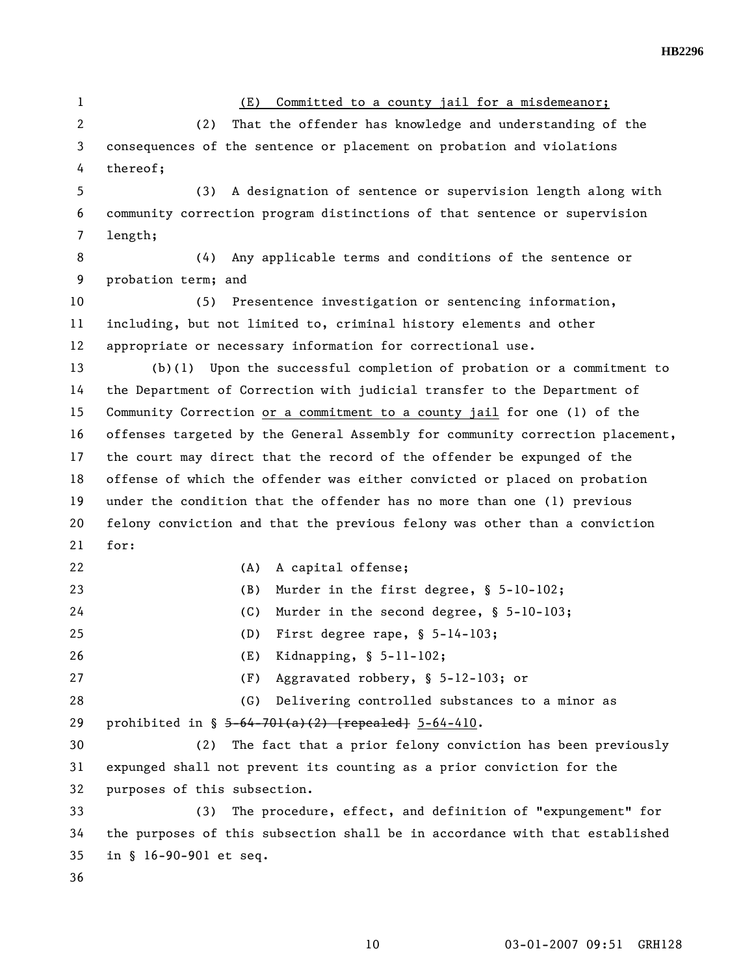1 (E) Committed to a county jail for a misdemeanor; 2 (2) That the offender has knowledge and understanding of the 3 consequences of the sentence or placement on probation and violations 4 thereof; 5 (3) A designation of sentence or supervision length along with 6 community correction program distinctions of that sentence or supervision 7 length; 8 (4) Any applicable terms and conditions of the sentence or 9 probation term; and 10 (5) Presentence investigation or sentencing information, 11 including, but not limited to, criminal history elements and other 12 appropriate or necessary information for correctional use. 13 (b)(1) Upon the successful completion of probation or a commitment to 14 the Department of Correction with judicial transfer to the Department of 15 Community Correction or a commitment to a county jail for one (1) of the 16 offenses targeted by the General Assembly for community correction placement, 17 the court may direct that the record of the offender be expunged of the 18 offense of which the offender was either convicted or placed on probation 19 under the condition that the offender has no more than one (1) previous 20 felony conviction and that the previous felony was other than a conviction 21 for: 22 (A) A capital offense; 23 (B) Murder in the first degree, § 5-10-102; 24 (C) Murder in the second degree, § 5-10-103; 25 (D) First degree rape, § 5-14-103; 26 (E) Kidnapping, § 5-11-102; 27 (F) Aggravated robbery, § 5-12-103; or 28 (G) Delivering controlled substances to a minor as 29 prohibited in § 5-64-701(a)(2) [repealed] 5-64-410. 30 (2) The fact that a prior felony conviction has been previously 31 expunged shall not prevent its counting as a prior conviction for the 32 purposes of this subsection. 33 (3) The procedure, effect, and definition of "expungement" for 34 the purposes of this subsection shall be in accordance with that established 35 in § 16-90-901 et seq. 36